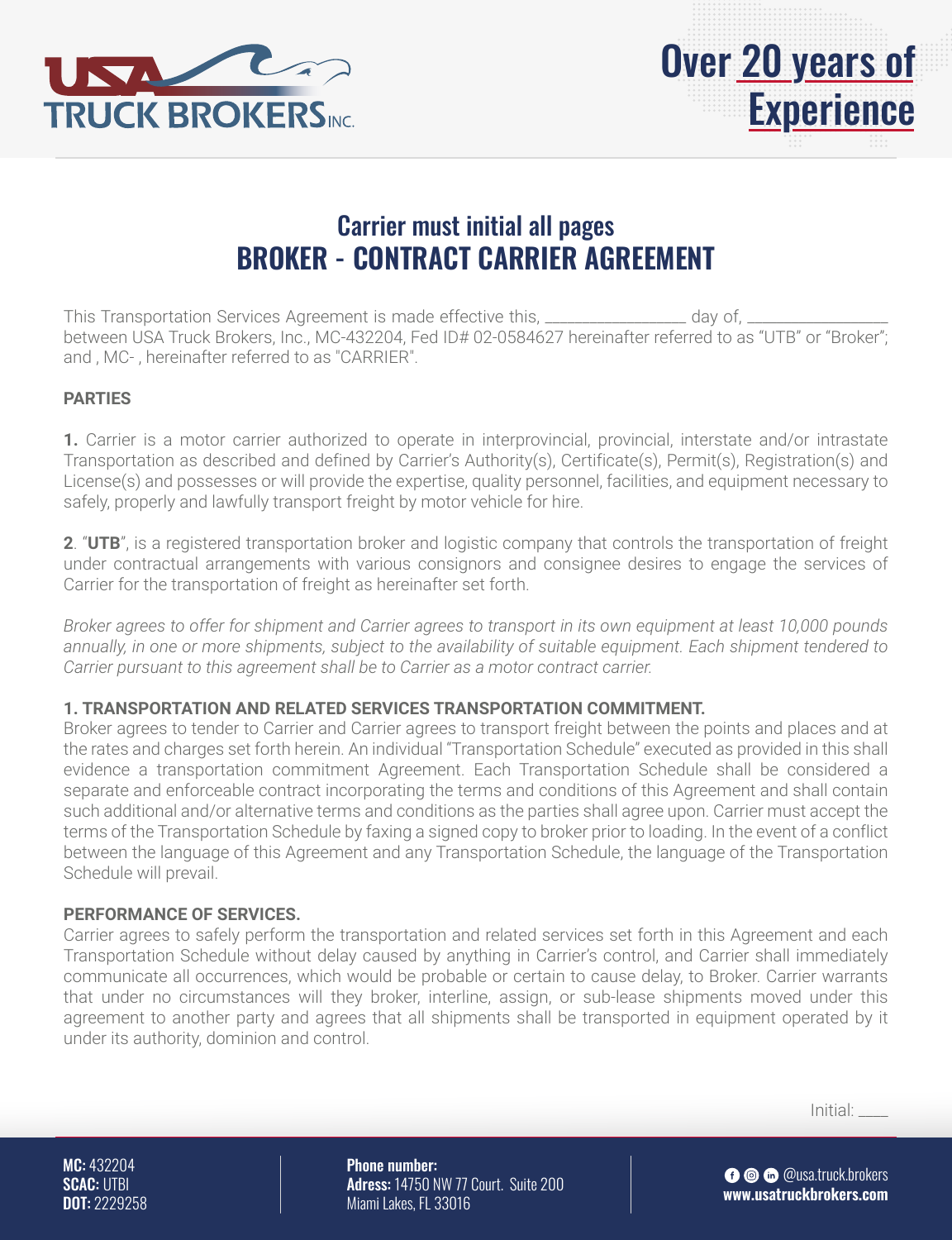



# Carrier must initial all pages **BROKER - CONTRACT CARRIER AGREEMENT**

This Transportation Services Agreement is made effective this, \_\_\_\_\_\_\_\_\_\_\_\_\_\_\_\_\_ day of, \_ between USA Truck Brokers, Inc., MC-432204, Fed ID# 02-0584627 hereinafter referred to as "UTB" or "Broker"; and , MC- , hereinafter referred to as "CARRIER".

### **PARTIES**

**1.** Carrier is a motor carrier authorized to operate in interprovincial, provincial, interstate and/or intrastate Transportation as described and defined by Carrier's Authority(s), Certificate(s), Permit(s), Registration(s) and License(s) and possesses or will provide the expertise, quality personnel, facilities, and equipment necessary to safely, properly and lawfully transport freight by motor vehicle for hire.

**2**. "**UTB**", is a registered transportation broker and logistic company that controls the transportation of freight under contractual arrangements with various consignors and consignee desires to engage the services of Carrier for the transportation of freight as hereinafter set forth.

*Broker agrees to offer for shipment and Carrier agrees to transport in its own equipment at least 10,000 pounds*  annually, in one or more shipments, subject to the availability of suitable equipment. Each shipment tendered to *Carrier pursuant to this agreement shall be to Carrier as a motor contract carrier.*

#### **1. TRANSPORTATION AND RELATED SERVICES TRANSPORTATION COMMITMENT.**

Broker agrees to tender to Carrier and Carrier agrees to transport freight between the points and places and at the rates and charges set forth herein. An individual "Transportation Schedule" executed as provided in this shall evidence a transportation commitment Agreement. Each Transportation Schedule shall be considered a separate and enforceable contract incorporating the terms and conditions of this Agreement and shall contain such additional and/or alternative terms and conditions as the parties shall agree upon. Carrier must accept the terms of the Transportation Schedule by faxing a signed copy to broker prior to loading. In the event of a conflict between the language of this Agreement and any Transportation Schedule, the language of the Transportation Schedule will prevail.

#### **PERFORMANCE OF SERVICES.**

Carrier agrees to safely perform the transportation and related services set forth in this Agreement and each Transportation Schedule without delay caused by anything in Carrier's control, and Carrier shall immediately communicate all occurrences, which would be probable or certain to cause delay, to Broker. Carrier warrants that under no circumstances will they broker, interline, assign, or sub-lease shipments moved under this agreement to another party and agrees that all shipments shall be transported in equipment operated by it under its authority, dominion and control.

Initial: \_\_\_\_

MC: 432204 SCAC: UTBI DOT: 2229258 Phone number: Adress: 14750 NW 77 Court. Suite 200 Miami Lakes, FL 33016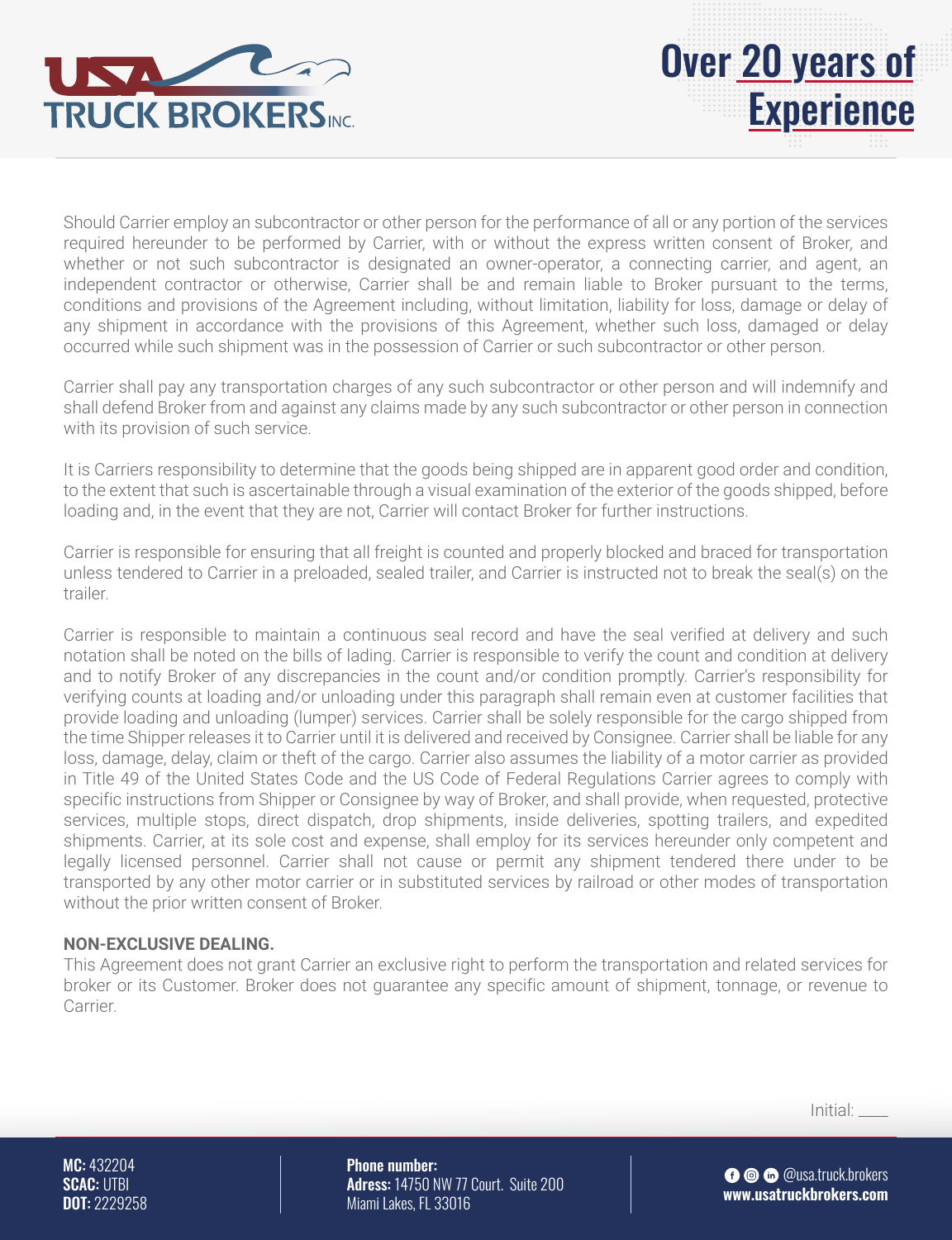

Should Carrier employ an subcontractor or other person for the performance of all or any portion of the services required hereunder to be performed by Carrier, with or without the express written consent of Broker, and whether or not such subcontractor is designated an owner-operator, a connecting carrier, and agent, an independent contractor or otherwise, Carrier shall be and remain liable to Broker pursuant to the terms, conditions and provisions of the Agreement including, without limitation, liability for loss, damage or delay of any shipment in accordance with the provisions of this Agreement, whether such loss, damaged or delay occurred while such shipment was in the possession of Carrier or such subcontractor or other person.

Carrier shall pay any transportation charges of any such subcontractor or other person and will indemnify and shall defend Broker from and against any claims made by any such subcontractor or other person in connection with its provision of such service.

It is Carriers responsibility to determine that the goods being shipped are in apparent good order and condition, to the extent that such is ascertainable through a visual examination of the exterior of the goods shipped, before loading and, in the event that they are not, Carrier will contact Broker for further instructions.

Carrier is responsible for ensuring that all freight is counted and properly blocked and braced for transportation unless tendered to Carrier in a preloaded, sealed trailer, and Carrier is instructed not to break the seal(s) on the trailer.

Carrier is responsible to maintain a continuous seal record and have the seal verified at delivery and such notation shall be noted on the bills of lading. Carrier is responsible to verify the count and condition at delivery and to notify Broker of any discrepancies in the count and/or condition promptly. Carrier's responsibility for verifying counts at loading and/or unloading under this paragraph shall remain even at customer facilities that provide loading and unloading (lumper) services. Carrier shall be solely responsible for the cargo shipped from the time Shipper releases it to Carrier until it is delivered and received by Consignee. Carrier shall be liable for any loss, damage, delay, claim or theft of the cargo. Carrier also assumes the liability of a motor carrier as provided in Title 49 of the United States Code and the US Code of Federal Regulations Carrier agrees to comply with specific instructions from Shipper or Consignee by way of Broker, and shall provide, when requested, protective services, multiple stops, direct dispatch, drop shipments, inside deliveries, spotting trailers, and expedited shipments. Carrier, at its sole cost and expense, shall employ for its services hereunder only competent and legally licensed personnel. Carrier shall not cause or permit any shipment tendered there under to be transported by any other motor carrier or in substituted services by railroad or other modes of transportation without the prior written consent of Broker.

#### **NON-EXCLUSIVE DEALING.**

This Agreement does not grant Carrier an exclusive right to perform the transportation and related services for broker or its Customer. Broker does not guarantee any specific amount of shipment, tonnage, or revenue to **Carrier** 

Initial: \_\_\_\_

MC: 432204 SCAC: UTBI DOT: 2229258 Phone number: Adress: 14750 NW 77 Court. Suite 200 Miami Lakes, FL 33016

**O** © @usa.truck.brokers **www.usatruckbrokers.com**

Over 20 years of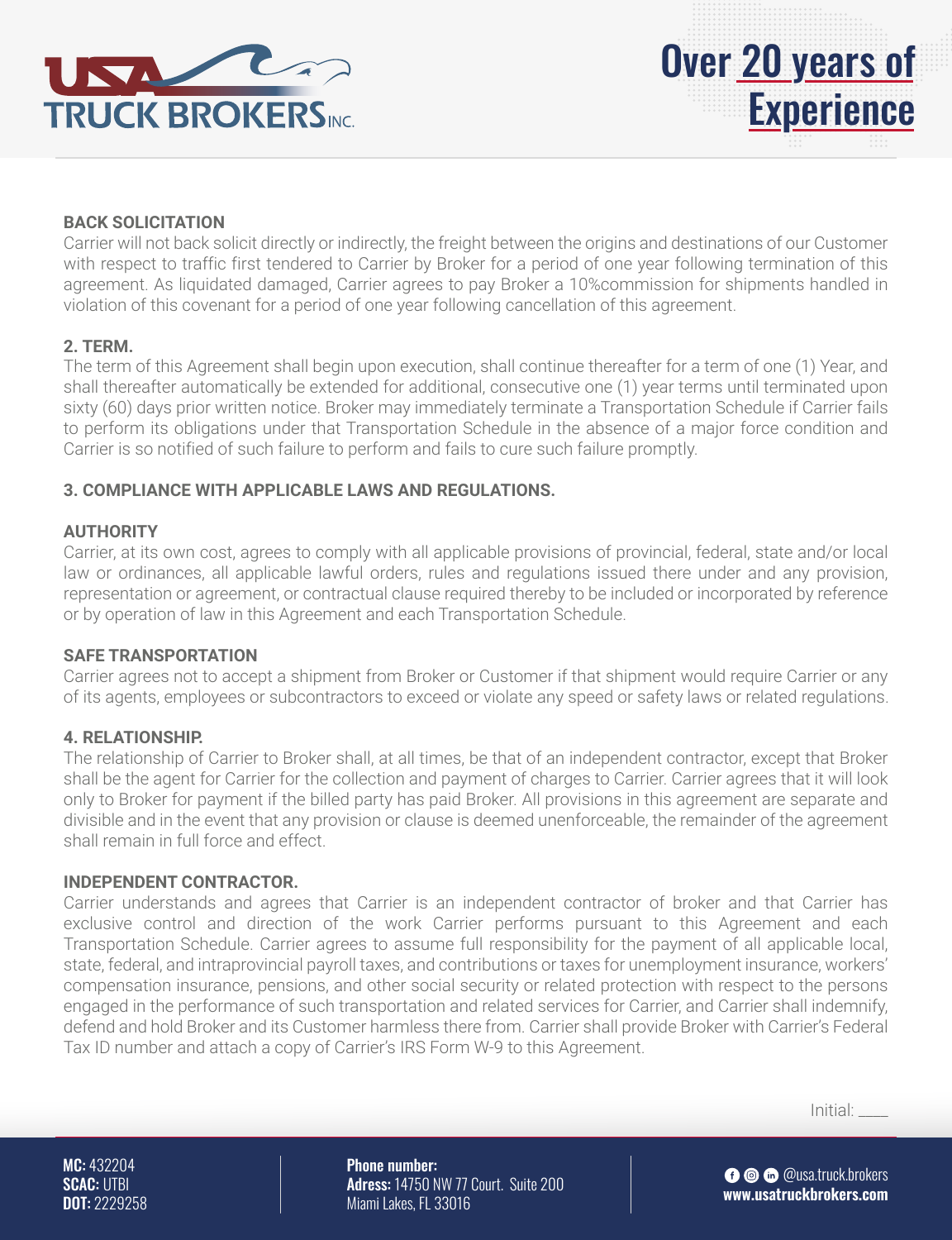



#### **BACK SOLICITATION**

Carrier will not back solicit directly or indirectly, the freight between the origins and destinations of our Customer with respect to traffic first tendered to Carrier by Broker for a period of one year following termination of this agreement. As liquidated damaged, Carrier agrees to pay Broker a 10%commission for shipments handled in violation of this covenant for a period of one year following cancellation of this agreement.

#### **2. TERM.**

The term of this Agreement shall begin upon execution, shall continue thereafter for a term of one (1) Year, and shall thereafter automatically be extended for additional, consecutive one (1) year terms until terminated upon sixty (60) days prior written notice. Broker may immediately terminate a Transportation Schedule if Carrier fails to perform its obligations under that Transportation Schedule in the absence of a major force condition and Carrier is so notified of such failure to perform and fails to cure such failure promptly.

#### **3. COMPLIANCE WITH APPLICABLE LAWS AND REGULATIONS.**

#### **AUTHORITY**

Carrier, at its own cost, agrees to comply with all applicable provisions of provincial, federal, state and/or local law or ordinances, all applicable lawful orders, rules and regulations issued there under and any provision, representation or agreement, or contractual clause required thereby to be included or incorporated by reference or by operation of law in this Agreement and each Transportation Schedule.

#### **SAFE TRANSPORTATION**

Carrier agrees not to accept a shipment from Broker or Customer if that shipment would require Carrier or any of its agents, employees or subcontractors to exceed or violate any speed or safety laws or related regulations.

#### **4. RELATIONSHIP.**

The relationship of Carrier to Broker shall, at all times, be that of an independent contractor, except that Broker shall be the agent for Carrier for the collection and payment of charges to Carrier. Carrier agrees that it will look only to Broker for payment if the billed party has paid Broker. All provisions in this agreement are separate and divisible and in the event that any provision or clause is deemed unenforceable, the remainder of the agreement shall remain in full force and effect.

#### **INDEPENDENT CONTRACTOR.**

Carrier understands and agrees that Carrier is an independent contractor of broker and that Carrier has exclusive control and direction of the work Carrier performs pursuant to this Agreement and each Transportation Schedule. Carrier agrees to assume full responsibility for the payment of all applicable local, state, federal, and intraprovincial payroll taxes, and contributions or taxes for unemployment insurance, workers' compensation insurance, pensions, and other social security or related protection with respect to the persons engaged in the performance of such transportation and related services for Carrier, and Carrier shall indemnify, defend and hold Broker and its Customer harmless there from. Carrier shall provide Broker with Carrier's Federal Tax ID number and attach a copy of Carrier's IRS Form W-9 to this Agreement.

Initial: \_\_\_\_

MC: 432204 SCAC: UTBI DOT: 2229258 Phone number: Adress: 14750 NW 77 Court. Suite 200 Miami Lakes, FL 33016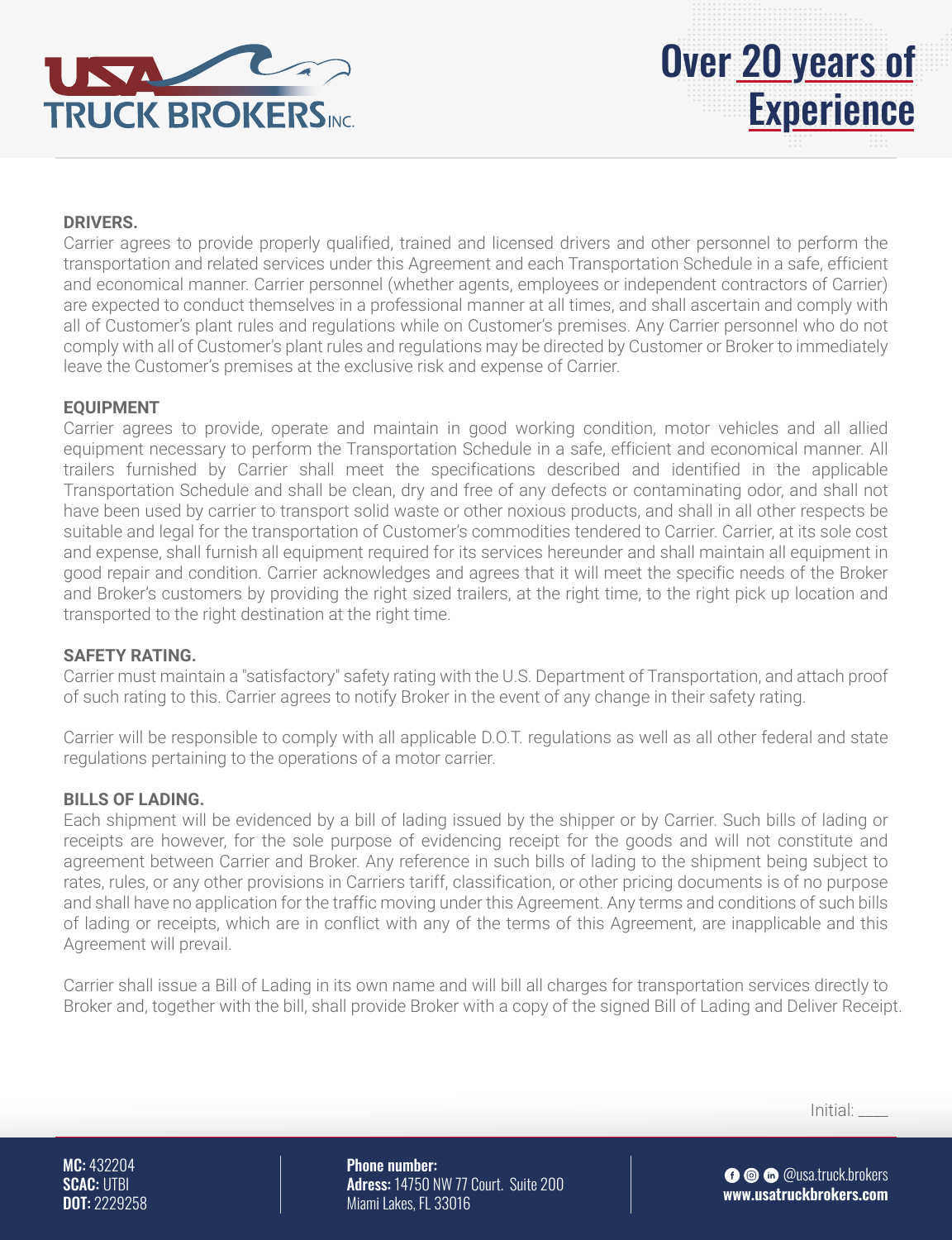



### **DRIVERS.**

Carrier agrees to provide properly qualified, trained and licensed drivers and other personnel to perform the transportation and related services under this Agreement and each Transportation Schedule in a safe, efficient and economical manner. Carrier personnel (whether agents, employees or independent contractors of Carrier) are expected to conduct themselves in a professional manner at all times, and shall ascertain and comply with all of Customer's plant rules and regulations while on Customer's premises. Any Carrier personnel who do not comply with all of Customer's plant rules and regulations may be directed by Customer or Broker to immediately leave the Customer's premises at the exclusive risk and expense of Carrier.

#### **EQUIPMENT**

Carrier agrees to provide, operate and maintain in good working condition, motor vehicles and all allied equipment necessary to perform the Transportation Schedule in a safe, efficient and economical manner. All trailers furnished by Carrier shall meet the specifications described and identified in the applicable Transportation Schedule and shall be clean, dry and free of any defects or contaminating odor, and shall not have been used by carrier to transport solid waste or other noxious products, and shall in all other respects be suitable and legal for the transportation of Customer's commodities tendered to Carrier. Carrier, at its sole cost and expense, shall furnish all equipment required for its services hereunder and shall maintain all equipment in good repair and condition. Carrier acknowledges and agrees that it will meet the specific needs of the Broker and Broker's customers by providing the right sized trailers, at the right time, to the right pick up location and transported to the right destination at the right time.

#### **SAFETY RATING.**

Carrier must maintain a "satisfactory" safety rating with the U.S. Department of Transportation, and attach proof of such rating to this. Carrier agrees to notify Broker in the event of any change in their safety rating.

Carrier will be responsible to comply with all applicable D.O.T. regulations as well as all other federal and state regulations pertaining to the operations of a motor carrier.

#### **BILLS OF LADING.**

Each shipment will be evidenced by a bill of lading issued by the shipper or by Carrier. Such bills of lading or receipts are however, for the sole purpose of evidencing receipt for the goods and will not constitute and agreement between Carrier and Broker. Any reference in such bills of lading to the shipment being subject to rates, rules, or any other provisions in Carriers tariff, classification, or other pricing documents is of no purpose and shall have no application for the traffic moving under this Agreement. Any terms and conditions of such bills of lading or receipts, which are in conflict with any of the terms of this Agreement, are inapplicable and this Agreement will prevail.

Carrier shall issue a Bill of Lading in its own name and will bill all charges for transportation services directly to Broker and, together with the bill, shall provide Broker with a copy of the signed Bill of Lading and Deliver Receipt.

Initial: \_\_\_\_

MC: 432204 SCAC: UTBI DOT: 2229258 Phone number: Adress: 14750 NW 77 Court. Suite 200 Miami Lakes, FL 33016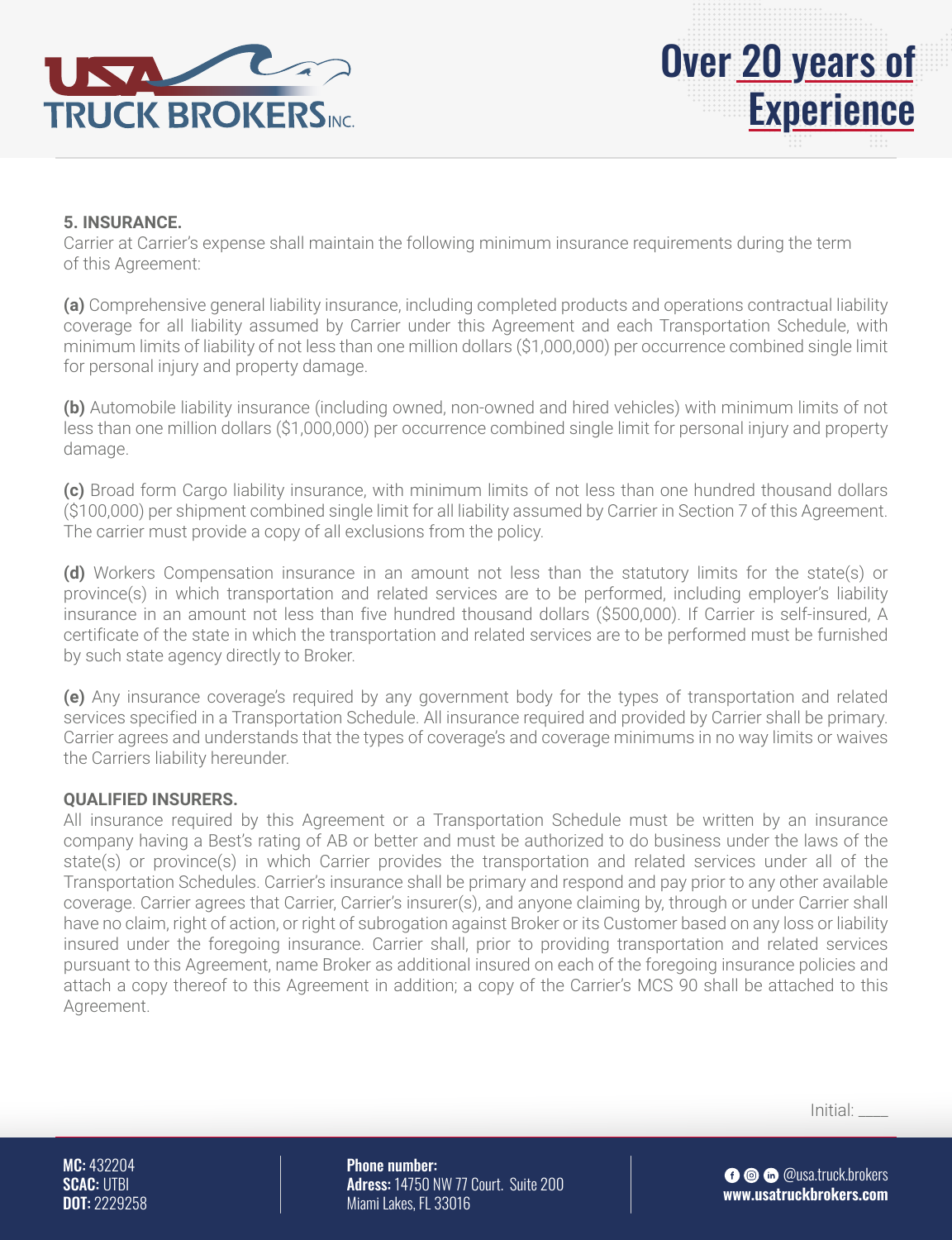



Carrier at Carrier's expense shall maintain the following minimum insurance requirements during the term of this Agreement:

**(a)** Comprehensive general liability insurance, including completed products and operations contractual liability coverage for all liability assumed by Carrier under this Agreement and each Transportation Schedule, with minimum limits of liability of not less than one million dollars (\$1,000,000) per occurrence combined single limit for personal injury and property damage.

**(b)** Automobile liability insurance (including owned, non-owned and hired vehicles) with minimum limits of not less than one million dollars (\$1,000,000) per occurrence combined single limit for personal injury and property damage.

**(c)** Broad form Cargo liability insurance, with minimum limits of not less than one hundred thousand dollars (\$100,000) per shipment combined single limit for all liability assumed by Carrier in Section 7 of this Agreement. The carrier must provide a copy of all exclusions from the policy.

**(d)** Workers Compensation insurance in an amount not less than the statutory limits for the state(s) or province(s) in which transportation and related services are to be performed, including employer's liability insurance in an amount not less than five hundred thousand dollars (\$500,000). If Carrier is self-insured, A certificate of the state in which the transportation and related services are to be performed must be furnished by such state agency directly to Broker.

**(e)** Any insurance coverage's required by any government body for the types of transportation and related services specified in a Transportation Schedule. All insurance required and provided by Carrier shall be primary. Carrier agrees and understands that the types of coverage's and coverage minimums in no way limits or waives the Carriers liability hereunder.

#### **QUALIFIED INSURERS.**

All insurance required by this Agreement or a Transportation Schedule must be written by an insurance company having a Best's rating of AB or better and must be authorized to do business under the laws of the state(s) or province(s) in which Carrier provides the transportation and related services under all of the Transportation Schedules. Carrier's insurance shall be primary and respond and pay prior to any other available coverage. Carrier agrees that Carrier, Carrier's insurer(s), and anyone claiming by, through or under Carrier shall have no claim, right of action, or right of subrogation against Broker or its Customer based on any loss or liability insured under the foregoing insurance. Carrier shall, prior to providing transportation and related services pursuant to this Agreement, name Broker as additional insured on each of the foregoing insurance policies and attach a copy thereof to this Agreement in addition; a copy of the Carrier's MCS 90 shall be attached to this Agreement.

Initial: \_\_\_\_

MC: 432204 SCAC: UTBI DOT: 2229258 Phone number: Adress: 14750 NW 77 Court. Suite 200 Miami Lakes, FL 33016

**O** © @usa.truck.brokers **www.usatruckbrokers.com**

Over 20 years of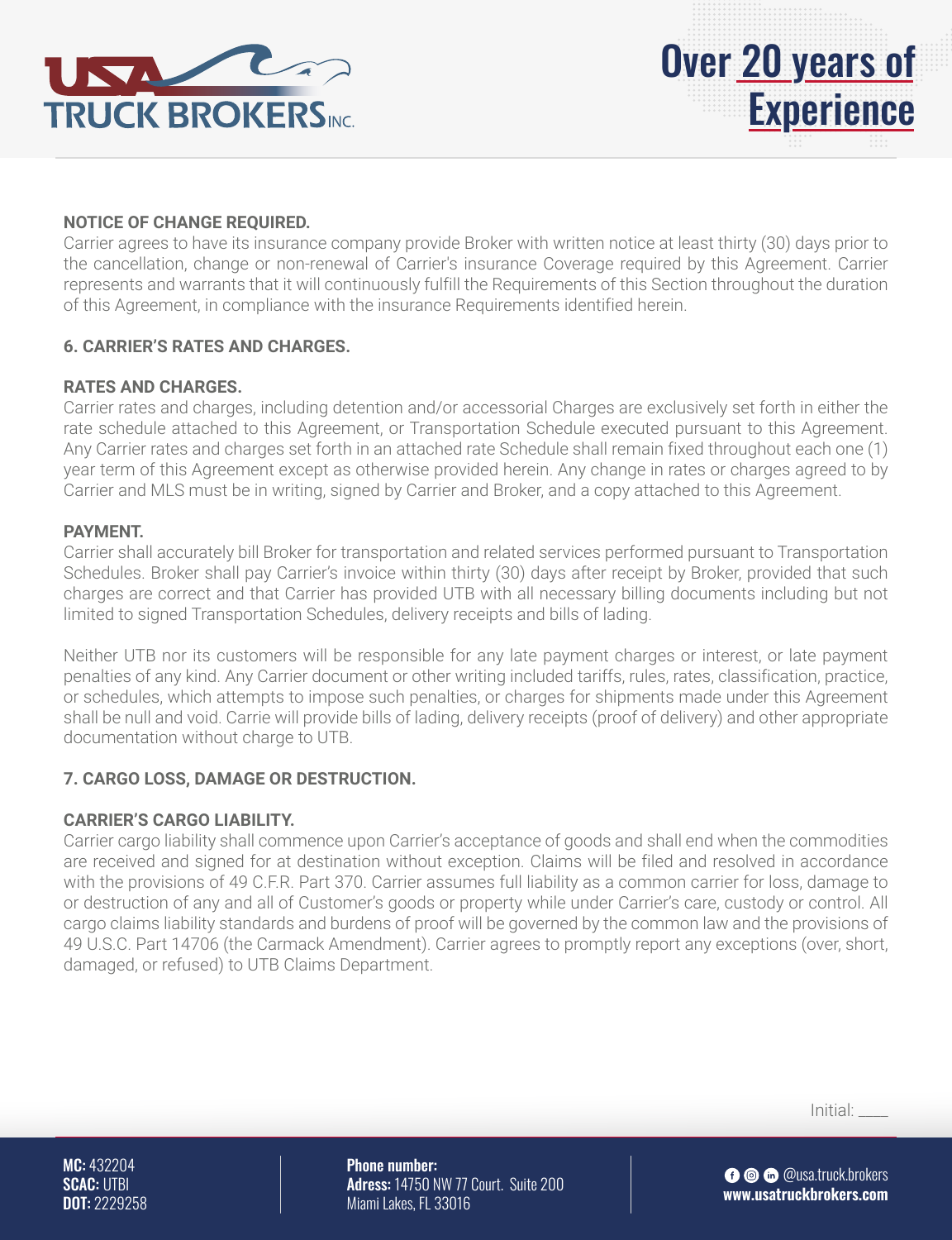



#### **NOTICE OF CHANGE REQUIRED.**

Carrier agrees to have its insurance company provide Broker with written notice at least thirty (30) days prior to the cancellation, change or non-renewal of Carrier's insurance Coverage required by this Agreement. Carrier represents and warrants that it will continuously fulfill the Requirements of this Section throughout the duration of this Agreement, in compliance with the insurance Requirements identified herein.

#### **6. CARRIER'S RATES AND CHARGES.**

#### **RATES AND CHARGES.**

Carrier rates and charges, including detention and/or accessorial Charges are exclusively set forth in either the rate schedule attached to this Agreement, or Transportation Schedule executed pursuant to this Agreement. Any Carrier rates and charges set forth in an attached rate Schedule shall remain fixed throughout each one (1) year term of this Agreement except as otherwise provided herein. Any change in rates or charges agreed to by Carrier and MLS must be in writing, signed by Carrier and Broker, and a copy attached to this Agreement.

#### **PAYMENT.**

Carrier shall accurately bill Broker for transportation and related services performed pursuant to Transportation Schedules. Broker shall pay Carrier's invoice within thirty (30) days after receipt by Broker, provided that such charges are correct and that Carrier has provided UTB with all necessary billing documents including but not limited to signed Transportation Schedules, delivery receipts and bills of lading.

Neither UTB nor its customers will be responsible for any late payment charges or interest, or late payment penalties of any kind. Any Carrier document or other writing included tariffs, rules, rates, classification, practice, or schedules, which attempts to impose such penalties, or charges for shipments made under this Agreement shall be null and void. Carrie will provide bills of lading, delivery receipts (proof of delivery) and other appropriate documentation without charge to UTB.

#### **7. CARGO LOSS, DAMAGE OR DESTRUCTION.**

#### **CARRIER'S CARGO LIABILITY.**

Carrier cargo liability shall commence upon Carrier's acceptance of goods and shall end when the commodities are received and signed for at destination without exception. Claims will be filed and resolved in accordance with the provisions of 49 C.F.R. Part 370. Carrier assumes full liability as a common carrier for loss, damage to or destruction of any and all of Customer's goods or property while under Carrier's care, custody or control. All cargo claims liability standards and burdens of proof will be governed by the common law and the provisions of 49 U.S.C. Part 14706 (the Carmack Amendment). Carrier agrees to promptly report any exceptions (over, short, damaged, or refused) to UTB Claims Department.

Initial: \_\_\_\_

MC: 432204 SCAC: UTBI DOT: 2229258 Phone number: Adress: 14750 NW 77 Court. Suite 200 Miami Lakes, FL 33016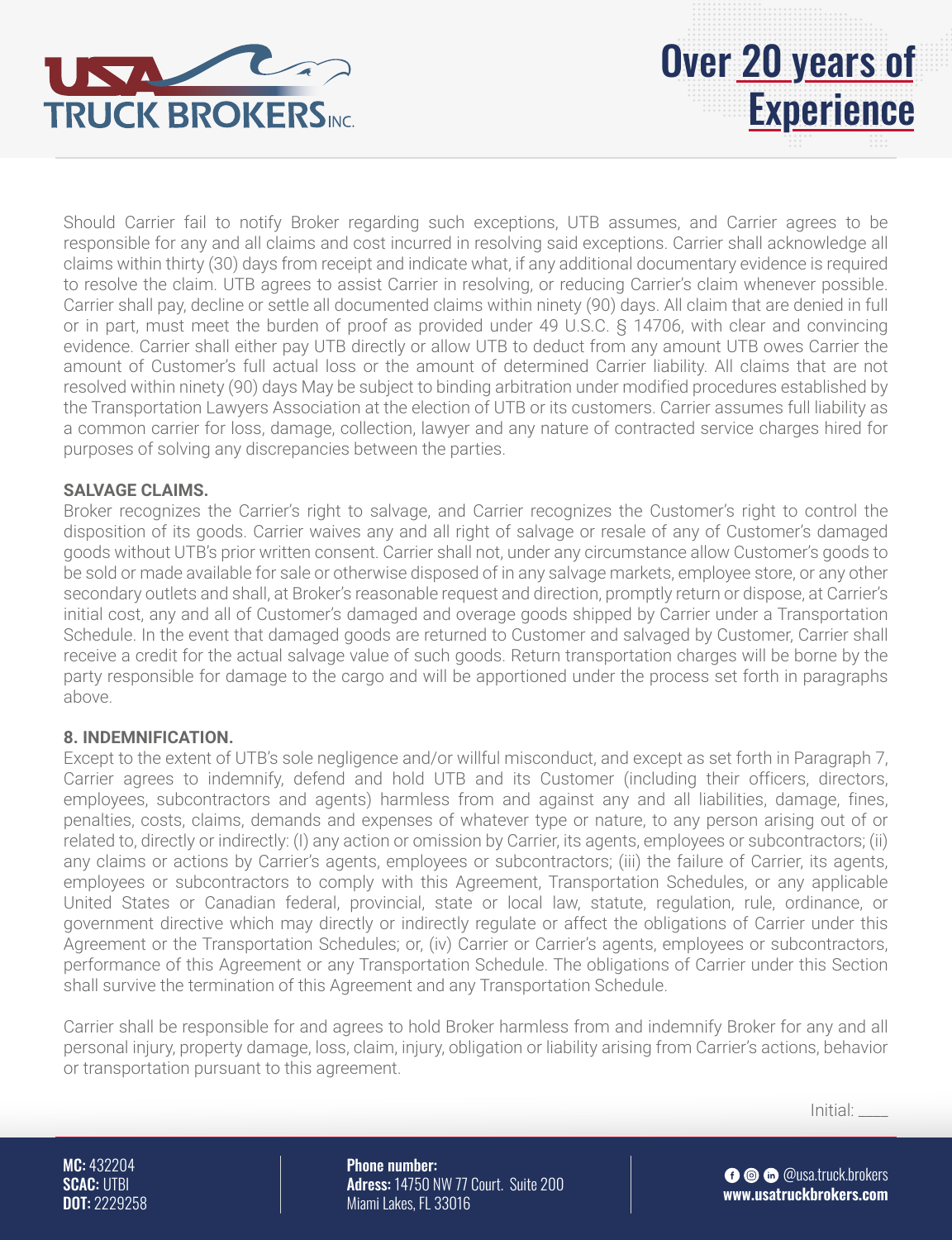

Should Carrier fail to notify Broker regarding such exceptions, UTB assumes, and Carrier agrees to be responsible for any and all claims and cost incurred in resolving said exceptions. Carrier shall acknowledge all claims within thirty (30) days from receipt and indicate what, if any additional documentary evidence is required to resolve the claim. UTB agrees to assist Carrier in resolving, or reducing Carrier's claim whenever possible. Carrier shall pay, decline or settle all documented claims within ninety (90) days. All claim that are denied in full or in part, must meet the burden of proof as provided under 49 U.S.C. § 14706, with clear and convincing evidence. Carrier shall either pay UTB directly or allow UTB to deduct from any amount UTB owes Carrier the amount of Customer's full actual loss or the amount of determined Carrier liability. All claims that are not resolved within ninety (90) days May be subject to binding arbitration under modified procedures established by the Transportation Lawyers Association at the election of UTB or its customers. Carrier assumes full liability as a common carrier for loss, damage, collection, lawyer and any nature of contracted service charges hired for purposes of solving any discrepancies between the parties.

#### **SALVAGE CLAIMS.**

Broker recognizes the Carrier's right to salvage, and Carrier recognizes the Customer's right to control the disposition of its goods. Carrier waives any and all right of salvage or resale of any of Customer's damaged goods without UTB's prior written consent. Carrier shall not, under any circumstance allow Customer's goods to be sold or made available for sale or otherwise disposed of in any salvage markets, employee store, or any other secondary outlets and shall, at Broker's reasonable request and direction, promptly return or dispose, at Carrier's initial cost, any and all of Customer's damaged and overage goods shipped by Carrier under a Transportation Schedule. In the event that damaged goods are returned to Customer and salvaged by Customer, Carrier shall receive a credit for the actual salvage value of such goods. Return transportation charges will be borne by the party responsible for damage to the cargo and will be apportioned under the process set forth in paragraphs above.

#### **8. INDEMNIFICATION.**

Except to the extent of UTB's sole negligence and/or willful misconduct, and except as set forth in Paragraph 7, Carrier agrees to indemnify, defend and hold UTB and its Customer (including their officers, directors, employees, subcontractors and agents) harmless from and against any and all liabilities, damage, fines, penalties, costs, claims, demands and expenses of whatever type or nature, to any person arising out of or related to, directly or indirectly: (I) any action or omission by Carrier, its agents, employees or subcontractors; (ii) any claims or actions by Carrier's agents, employees or subcontractors; (iii) the failure of Carrier, its agents, employees or subcontractors to comply with this Agreement, Transportation Schedules, or any applicable United States or Canadian federal, provincial, state or local law, statute, regulation, rule, ordinance, or government directive which may directly or indirectly regulate or affect the obligations of Carrier under this Agreement or the Transportation Schedules; or, (iv) Carrier or Carrier's agents, employees or subcontractors, performance of this Agreement or any Transportation Schedule. The obligations of Carrier under this Section shall survive the termination of this Agreement and any Transportation Schedule.

Carrier shall be responsible for and agrees to hold Broker harmless from and indemnify Broker for any and all personal injury, property damage, loss, claim, injury, obligation or liability arising from Carrier's actions, behavior or transportation pursuant to this agreement.

Initial: \_\_\_\_

MC: 432204 SCAC: UTBI DOT: 2229258 Phone number: Adress: 14750 NW 77 Court. Suite 200 Miami Lakes, FL 33016

**O** © @usa.truck.brokers **www.usatruckbrokers.com**

Over 20 years of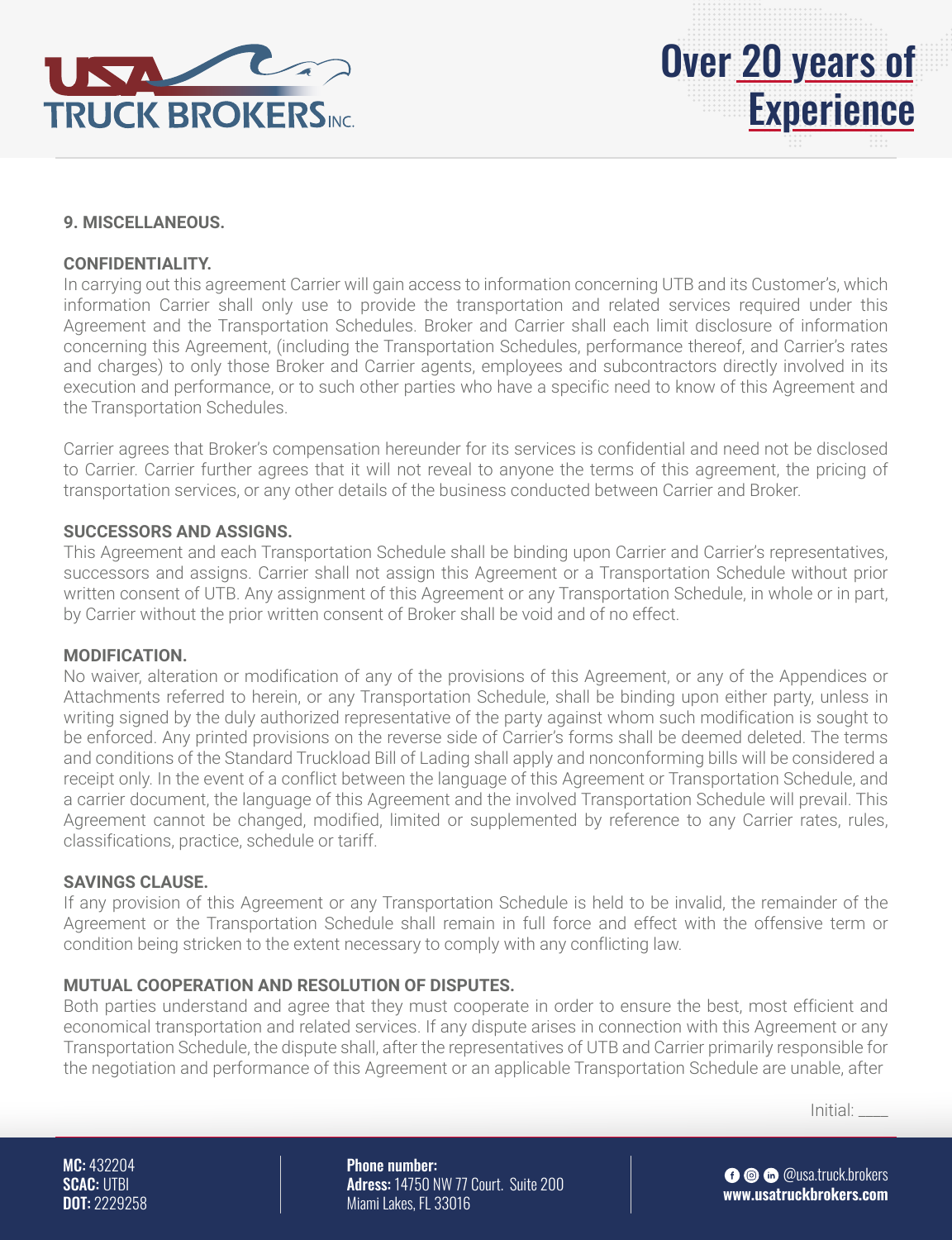



#### **9. MISCELLANEOUS.**

#### **CONFIDENTIALITY.**

In carrying out this agreement Carrier will gain access to information concerning UTB and its Customer's, which information Carrier shall only use to provide the transportation and related services required under this Agreement and the Transportation Schedules. Broker and Carrier shall each limit disclosure of information concerning this Agreement, (including the Transportation Schedules, performance thereof, and Carrier's rates and charges) to only those Broker and Carrier agents, employees and subcontractors directly involved in its execution and performance, or to such other parties who have a specific need to know of this Agreement and the Transportation Schedules.

Carrier agrees that Broker's compensation hereunder for its services is confidential and need not be disclosed to Carrier. Carrier further agrees that it will not reveal to anyone the terms of this agreement, the pricing of transportation services, or any other details of the business conducted between Carrier and Broker.

#### **SUCCESSORS AND ASSIGNS.**

This Agreement and each Transportation Schedule shall be binding upon Carrier and Carrier's representatives, successors and assigns. Carrier shall not assign this Agreement or a Transportation Schedule without prior written consent of UTB. Any assignment of this Agreement or any Transportation Schedule, in whole or in part, by Carrier without the prior written consent of Broker shall be void and of no effect.

#### **MODIFICATION.**

No waiver, alteration or modification of any of the provisions of this Agreement, or any of the Appendices or Attachments referred to herein, or any Transportation Schedule, shall be binding upon either party, unless in writing signed by the duly authorized representative of the party against whom such modification is sought to be enforced. Any printed provisions on the reverse side of Carrier's forms shall be deemed deleted. The terms and conditions of the Standard Truckload Bill of Lading shall apply and nonconforming bills will be considered a receipt only. In the event of a conflict between the language of this Agreement or Transportation Schedule, and a carrier document, the language of this Agreement and the involved Transportation Schedule will prevail. This Agreement cannot be changed, modified, limited or supplemented by reference to any Carrier rates, rules, classifications, practice, schedule or tariff.

#### **SAVINGS CLAUSE.**

If any provision of this Agreement or any Transportation Schedule is held to be invalid, the remainder of the Agreement or the Transportation Schedule shall remain in full force and effect with the offensive term or condition being stricken to the extent necessary to comply with any conflicting law.

#### **MUTUAL COOPERATION AND RESOLUTION OF DISPUTES.**

Both parties understand and agree that they must cooperate in order to ensure the best, most efficient and economical transportation and related services. If any dispute arises in connection with this Agreement or any Transportation Schedule, the dispute shall, after the representatives of UTB and Carrier primarily responsible for the negotiation and performance of this Agreement or an applicable Transportation Schedule are unable, after

Initial: \_\_\_\_

MC: 432204 SCAC: UTBI DOT: 2229258 Phone number: Adress: 14750 NW 77 Court. Suite 200 Miami Lakes, FL 33016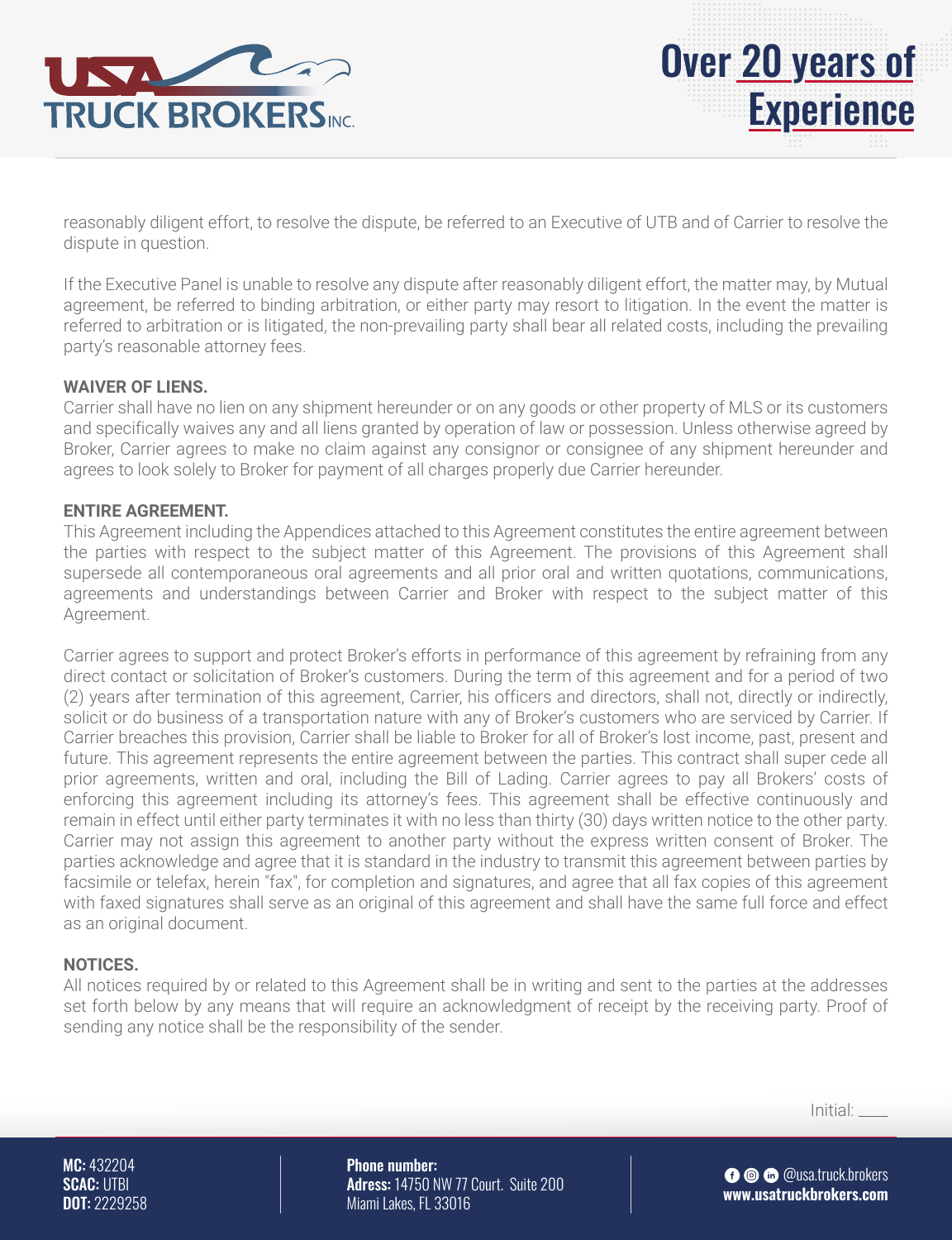

reasonably diligent effort, to resolve the dispute, be referred to an Executive of UTB and of Carrier to resolve the dispute in question.

If the Executive Panel is unable to resolve any dispute after reasonably diligent effort, the matter may, by Mutual agreement, be referred to binding arbitration, or either party may resort to litigation. In the event the matter is referred to arbitration or is litigated, the non-prevailing party shall bear all related costs, including the prevailing party's reasonable attorney fees.

#### **WAIVER OF LIENS.**

Carrier shall have no lien on any shipment hereunder or on any goods or other property of MLS or its customers and specifically waives any and all liens granted by operation of law or possession. Unless otherwise agreed by Broker, Carrier agrees to make no claim against any consignor or consignee of any shipment hereunder and agrees to look solely to Broker for payment of all charges properly due Carrier hereunder.

#### **ENTIRE AGREEMENT.**

This Agreement including the Appendices attached to this Agreement constitutes the entire agreement between the parties with respect to the subject matter of this Agreement. The provisions of this Agreement shall supersede all contemporaneous oral agreements and all prior oral and written quotations, communications, agreements and understandings between Carrier and Broker with respect to the subject matter of this Agreement.

Carrier agrees to support and protect Broker's efforts in performance of this agreement by refraining from any direct contact or solicitation of Broker's customers. During the term of this agreement and for a period of two (2) years after termination of this agreement, Carrier, his officers and directors, shall not, directly or indirectly, solicit or do business of a transportation nature with any of Broker's customers who are serviced by Carrier. If Carrier breaches this provision, Carrier shall be liable to Broker for all of Broker's lost income, past, present and future. This agreement represents the entire agreement between the parties. This contract shall super cede all prior agreements, written and oral, including the Bill of Lading. Carrier agrees to pay all Brokers' costs of enforcing this agreement including its attorney's fees. This agreement shall be effective continuously and remain in effect until either party terminates it with no less than thirty (30) days written notice to the other party. Carrier may not assign this agreement to another party without the express written consent of Broker. The parties acknowledge and agree that it is standard in the industry to transmit this agreement between parties by facsimile or telefax, herein "fax", for completion and signatures, and agree that all fax copies of this agreement with faxed signatures shall serve as an original of this agreement and shall have the same full force and effect as an original document.

#### **NOTICES.**

All notices required by or related to this Agreement shall be in writing and sent to the parties at the addresses set forth below by any means that will require an acknowledgment of receipt by the receiving party. Proof of sending any notice shall be the responsibility of the sender.

Initial: \_\_\_\_

MC: 432204 SCAC: UTBI DOT: 2229258 Phone number: Adress: 14750 NW 77 Court. Suite 200 Miami Lakes, FL 33016

**O** © @usa.truck.brokers **www.usatruckbrokers.com**

Over 20 years of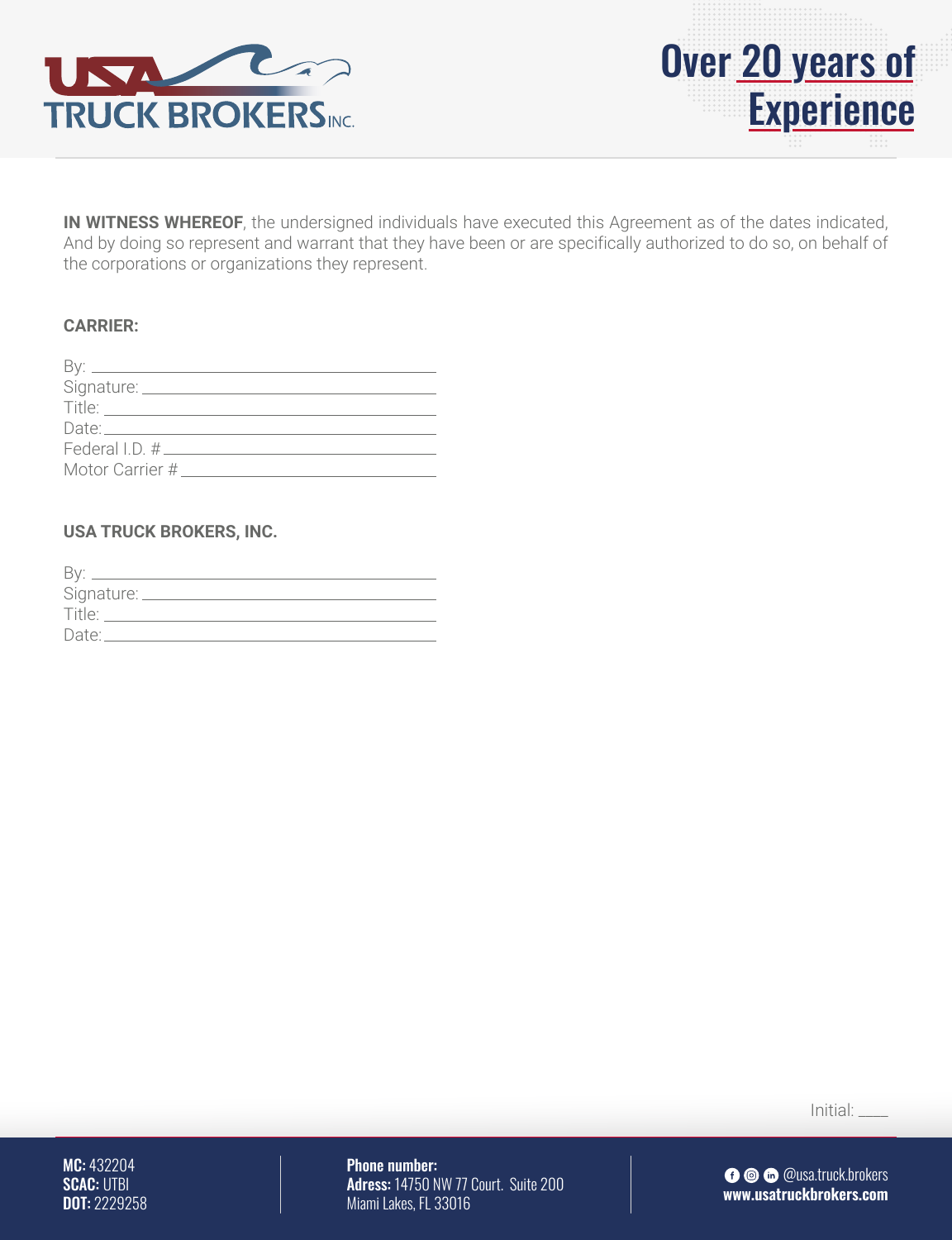



**IN WITNESS WHEREOF**, the undersigned individuals have executed this Agreement as of the dates indicated, And by doing so represent and warrant that they have been or are specifically authorized to do so, on behalf of the corporations or organizations they represent.

#### **CARRIER:**

| By: _____            |  |
|----------------------|--|
| Signature: _________ |  |
| Title:               |  |
| Date: Date:          |  |
|                      |  |
| Motor Carrier #      |  |

#### **USA TRUCK BROKERS, INC.**

| <b>Bv</b>  |
|------------|
| Signature: |
| Title:     |
| Date:      |

Initial: \_\_\_\_

MC: 432204 SCAC: UTBI **DOT: 2229258**  Phone number: Adress: 14750 NW 77 Court. Suite 200 Miami Lakes, FL 33016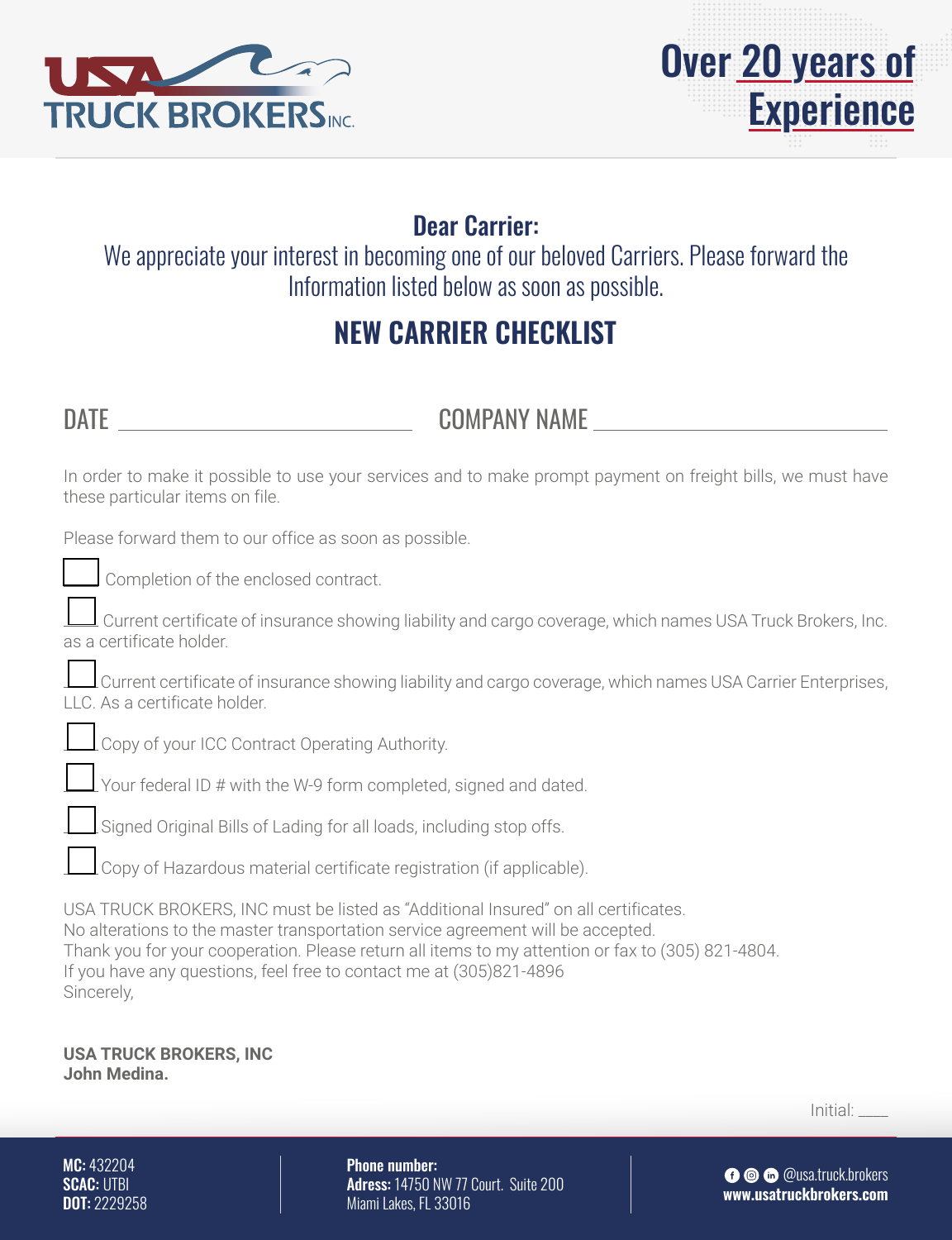



# Dear Carrier:

We appreciate your interest in becoming one of our beloved Carriers. Please forward the Information listed below as soon as possible.

# **NEW CARRIER CHECKLIST**

DATE COMPANY NAME

In order to make it possible to use your services and to make prompt payment on freight bills, we must have these particular items on file.

Please forward them to our office as soon as possible.

Completion of the enclosed contract.

 Current certificate of insurance showing liability and cargo coverage, which names USA Truck Brokers, Inc. as a certificate holder.

 Current certificate of insurance showing liability and cargo coverage, which names USA Carrier Enterprises, LLC. As a certificate holder.



Copy of your ICC Contract Operating Authority.

Your federal ID # with the W-9 form completed, signed and dated.

Signed Original Bills of Lading for all loads, including stop offs.

Copy of Hazardous material certificate registration (if applicable).

USA TRUCK BROKERS, INC must be listed as "Additional Insured" on all certificates. No alterations to the master transportation service agreement will be accepted. Thank you for your cooperation. Please return all items to my attention or fax to (305) 821-4804. If you have any questions, feel free to contact me at (305)821-4896 Sincerely,

**USA TRUCK BROKERS, INC John Medina.**

Initial: \_\_\_\_

MC: 432204 SCAC: UTBI DOT: 2229258 Phone number: Adress: 14750 NW 77 Court. Suite 200 Miami Lakes, FL 33016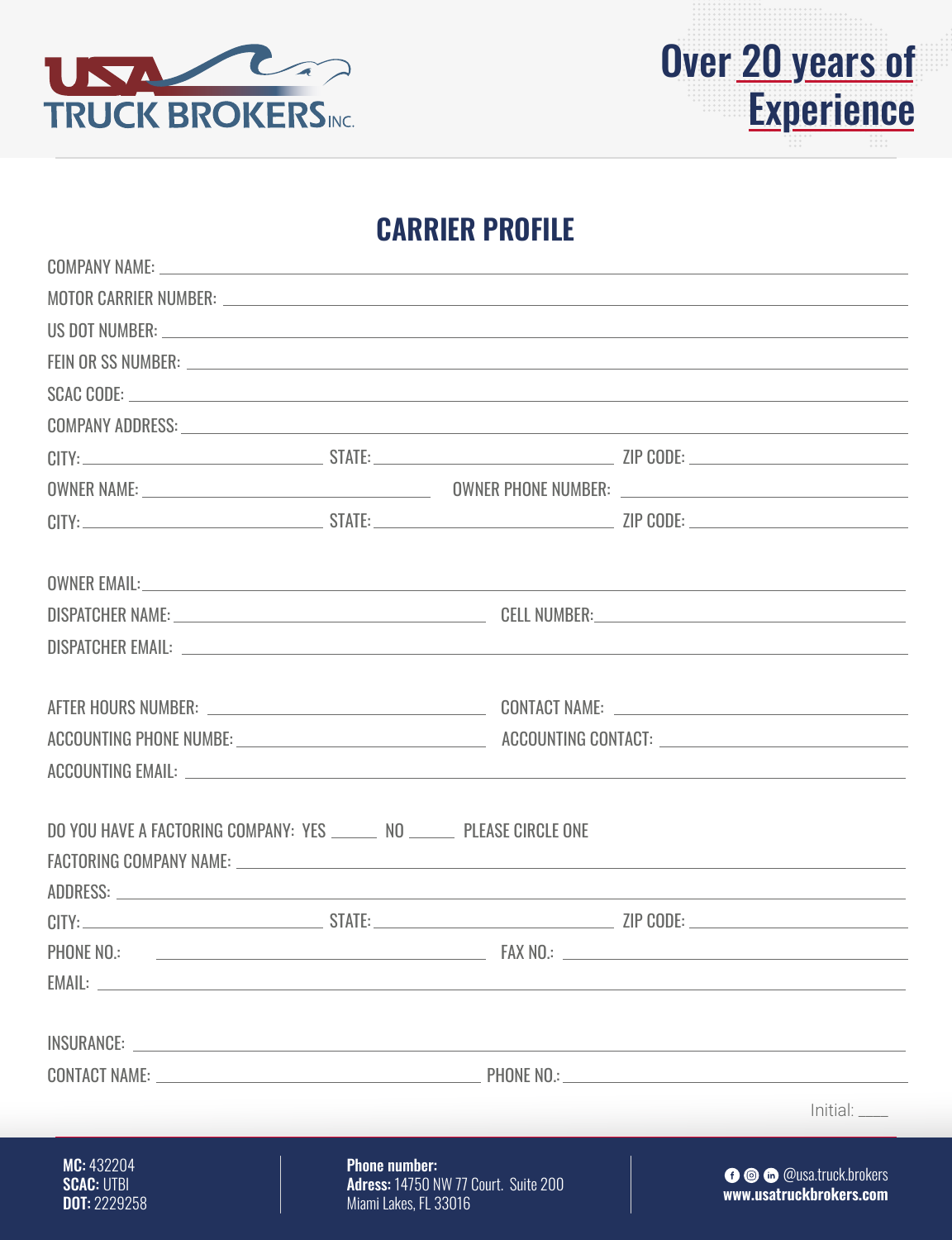



# **CARRIER PROFILE**

| COMPANY NAME: New York COMPANY NAME:                                                                                                                                                                                                                                                                                                                                                                                                                                                                                                        |                                               |                                             |                                                   |
|---------------------------------------------------------------------------------------------------------------------------------------------------------------------------------------------------------------------------------------------------------------------------------------------------------------------------------------------------------------------------------------------------------------------------------------------------------------------------------------------------------------------------------------------|-----------------------------------------------|---------------------------------------------|---------------------------------------------------|
|                                                                                                                                                                                                                                                                                                                                                                                                                                                                                                                                             |                                               |                                             |                                                   |
|                                                                                                                                                                                                                                                                                                                                                                                                                                                                                                                                             |                                               |                                             |                                                   |
|                                                                                                                                                                                                                                                                                                                                                                                                                                                                                                                                             |                                               |                                             |                                                   |
| SCAC CODE: North Contract Contract Contract Contract Contract Contract Contract Contract Contract Contract Contract Contract Contract Contract Contract Contract Contract Contract Contract Contract Contract Contract Contrac                                                                                                                                                                                                                                                                                                              |                                               |                                             |                                                   |
| COMPANY ADDRESS: University of the contract of the contract of the contract of the contract of the contract of the contract of the contract of the contract of the contract of the contract of the contract of the contract of                                                                                                                                                                                                                                                                                                              |                                               |                                             |                                                   |
|                                                                                                                                                                                                                                                                                                                                                                                                                                                                                                                                             |                                               |                                             |                                                   |
|                                                                                                                                                                                                                                                                                                                                                                                                                                                                                                                                             |                                               |                                             |                                                   |
|                                                                                                                                                                                                                                                                                                                                                                                                                                                                                                                                             |                                               |                                             |                                                   |
|                                                                                                                                                                                                                                                                                                                                                                                                                                                                                                                                             |                                               |                                             |                                                   |
|                                                                                                                                                                                                                                                                                                                                                                                                                                                                                                                                             |                                               |                                             |                                                   |
|                                                                                                                                                                                                                                                                                                                                                                                                                                                                                                                                             |                                               |                                             |                                                   |
|                                                                                                                                                                                                                                                                                                                                                                                                                                                                                                                                             |                                               |                                             |                                                   |
| ACCOUNTING PHONE NUMBE: ACCOUNTING CONTACT: ACCOUNTING CONTACT:                                                                                                                                                                                                                                                                                                                                                                                                                                                                             |                                               |                                             |                                                   |
|                                                                                                                                                                                                                                                                                                                                                                                                                                                                                                                                             |                                               |                                             |                                                   |
| DO YOU HAVE A FACTORING COMPANY: YES _______ NO ______ PLEASE CIRCLE ONE<br>FACTORING COMPANY NAME: University of the second service of the service of the service of the service of the service of the service of the service of the service of the service of the service of the service of the service<br>ADDRESS: North Contract of the Contract of the Contract of the Contract of the Contract of the Contract of the Contract of the Contract of the Contract of the Contract of the Contract of the Contract of the Contract of the |                                               |                                             |                                                   |
|                                                                                                                                                                                                                                                                                                                                                                                                                                                                                                                                             |                                               |                                             |                                                   |
| PHONE NO.:                                                                                                                                                                                                                                                                                                                                                                                                                                                                                                                                  |                                               | FAX NO.:                                    |                                                   |
| EMAIL:                                                                                                                                                                                                                                                                                                                                                                                                                                                                                                                                      |                                               |                                             |                                                   |
|                                                                                                                                                                                                                                                                                                                                                                                                                                                                                                                                             |                                               |                                             |                                                   |
| CONTACT NAME: UNIVERSITY OF PHONE NO.: PHONE NO.:                                                                                                                                                                                                                                                                                                                                                                                                                                                                                           |                                               |                                             |                                                   |
|                                                                                                                                                                                                                                                                                                                                                                                                                                                                                                                                             |                                               |                                             | Initial:                                          |
| MC: 432204<br><b>SCAC: UTBI</b><br>DOT: 2229258                                                                                                                                                                                                                                                                                                                                                                                                                                                                                             | <b>Phone number:</b><br>Miami Lakes, FL 33016 | <b>Adress: 14750 NW 77 Court. Suite 200</b> | O O Cusa.truck.brokers<br>www.usatruckbrokers.com |